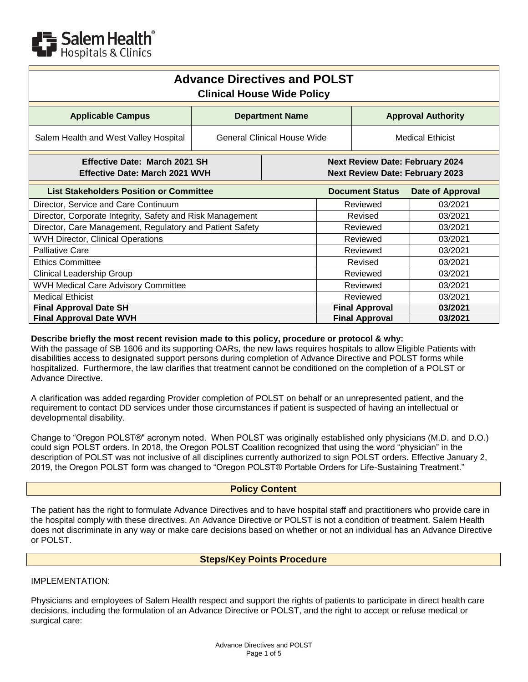

| <b>Advance Directives and POLST</b><br><b>Clinical House Wide Policy</b> |                             |  |                                                                                  |                         |                  |  |  |
|--------------------------------------------------------------------------|-----------------------------|--|----------------------------------------------------------------------------------|-------------------------|------------------|--|--|
| <b>Applicable Campus</b>                                                 | <b>Department Name</b>      |  | <b>Approval Authority</b>                                                        |                         |                  |  |  |
| Salem Health and West Valley Hospital                                    | General Clinical House Wide |  |                                                                                  | <b>Medical Ethicist</b> |                  |  |  |
| Effective Date: March 2021 SH<br><b>Effective Date: March 2021 WVH</b>   |                             |  | <b>Next Review Date: February 2024</b><br><b>Next Review Date: February 2023</b> |                         |                  |  |  |
| <b>List Stakeholders Position or Committee</b>                           |                             |  |                                                                                  | <b>Document Status</b>  | Date of Approval |  |  |
| Director, Service and Care Continuum                                     |                             |  | Reviewed                                                                         |                         | 03/2021          |  |  |
| Director, Corporate Integrity, Safety and Risk Management                |                             |  | Revised                                                                          |                         | 03/2021          |  |  |
| Director, Care Management, Regulatory and Patient Safety                 |                             |  | Reviewed                                                                         |                         | 03/2021          |  |  |
| <b>WVH Director, Clinical Operations</b>                                 |                             |  | Reviewed                                                                         |                         | 03/2021          |  |  |
| <b>Palliative Care</b>                                                   |                             |  | Reviewed                                                                         |                         | 03/2021          |  |  |
| <b>Ethics Committee</b>                                                  |                             |  | Revised                                                                          |                         | 03/2021          |  |  |
| Clinical Leadership Group                                                |                             |  | Reviewed                                                                         |                         | 03/2021          |  |  |
| WVH Medical Care Advisory Committee                                      |                             |  | Reviewed                                                                         |                         | 03/2021          |  |  |
| <b>Medical Ethicist</b>                                                  |                             |  | Reviewed                                                                         |                         | 03/2021          |  |  |
| <b>Final Approval Date SH</b>                                            |                             |  | <b>Final Approval</b>                                                            |                         | 03/2021          |  |  |
| <b>Final Approval Date WVH</b>                                           |                             |  | <b>Final Approval</b>                                                            |                         | 03/2021          |  |  |

#### **Describe briefly the most recent revision made to this policy, procedure or protocol & why:**

With the passage of SB 1606 and its supporting OARs, the new laws requires hospitals to allow Eligible Patients with disabilities access to designated support persons during completion of Advance Directive and POLST forms while hospitalized. Furthermore, the law clarifies that treatment cannot be conditioned on the completion of a POLST or Advance Directive.

A clarification was added regarding Provider completion of POLST on behalf or an unrepresented patient, and the requirement to contact DD services under those circumstances if patient is suspected of having an intellectual or developmental disability.

Change to "Oregon POLST®" acronym noted. When POLST was originally established only physicians (M.D. and D.O.) could sign POLST orders. In 2018, the Oregon POLST Coalition recognized that using the word "physician" in the description of POLST was not inclusive of all disciplines currently authorized to sign POLST orders. Effective January 2, 2019, the Oregon POLST form was changed to "Oregon POLST® Portable Orders for Life-Sustaining Treatment."

## **Policy Content**

The patient has the right to formulate Advance Directives and to have hospital staff and practitioners who provide care in the hospital comply with these directives. An Advance Directive or POLST is not a condition of treatment. Salem Health does not discriminate in any way or make care decisions based on whether or not an individual has an Advance Directive or POLST.

#### **Steps/Key Points Procedure**

IMPLEMENTATION:

Physicians and employees of Salem Health respect and support the rights of patients to participate in direct health care decisions, including the formulation of an Advance Directive or POLST, and the right to accept or refuse medical or surgical care: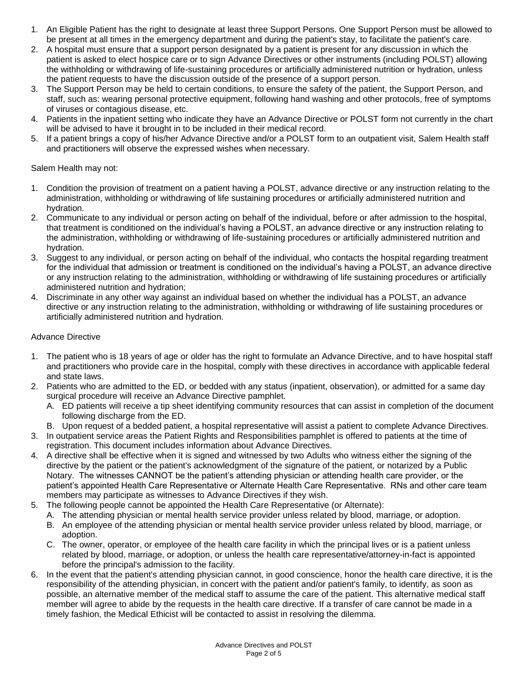- 1. An Eligible Patient has the right to designate at least three Support Persons. One Support Person must be allowed to be present at all times in the emergency department and during the patient's stay, to facilitate the patient's care.
- 2. A hospital must ensure that a support person designated by a patient is present for any discussion in which the patient is asked to elect hospice care or to sign Advance Directives or other instruments (including POLST) allowing the withholding or withdrawing of life-sustaining procedures or artificially administered nutrition or hydration, unless the patient requests to have the discussion outside of the presence of a support person.
- 3. The Support Person may be held to certain conditions, to ensure the safety of the patient, the Support Person, and staff, such as: wearing personal protective equipment, following hand washing and other protocols, free of symptoms of viruses or contagious disease, etc.
- 4. Patients in the inpatient setting who indicate they have an Advance Directive or POLST form not currently in the chart will be advised to have it brought in to be included in their medical record.
- 5. If a patient brings a copy of his/her Advance Directive and/or a POLST form to an outpatient visit, Salem Health staff and practitioners will observe the expressed wishes when necessary.

## Salem Health may not:

- 1. Condition the provision of treatment on a patient having a POLST, advance directive or any instruction relating to the administration, withholding or withdrawing of life sustaining procedures or artificially administered nutrition and hydration.
- 2. Communicate to any individual or person acting on behalf of the individual, before or after admission to the hospital, that treatment is conditioned on the individual's having a POLST, an advance directive or any instruction relating to the administration, withholding or withdrawing of life-sustaining procedures or artificially administered nutrition and hydration.
- 3. Suggest to any individual, or person acting on behalf of the individual, who contacts the hospital regarding treatment for the individual that admission or treatment is conditioned on the individual's having a POLST, an advance directive or any instruction relating to the administration, withholding or withdrawing of life sustaining procedures or artificially administered nutrition and hydration;
- 4. Discriminate in any other way against an individual based on whether the individual has a POLST, an advance directive or any instruction relating to the administration, withholding or withdrawing of life sustaining procedures or artificially administered nutrition and hydration.

## Advance Directive

- 1. The patient who is 18 years of age or older has the right to formulate an Advance Directive, and to have hospital staff and practitioners who provide care in the hospital, comply with these directives in accordance with applicable federal and state laws.
- 2. Patients who are admitted to the ED, or bedded with any status (inpatient, observation), or admitted for a same day surgical procedure will receive an Advance Directive pamphlet.
	- A. ED patients will receive a tip sheet identifying community resources that can assist in completion of the document following discharge from the ED.
	- B. Upon request of a bedded patient, a hospital representative will assist a patient to complete Advance Directives.
- 3. In outpatient service areas the Patient Rights and Responsibilities pamphlet is offered to patients at the time of registration. This document includes information about Advance Directives.
- 4. A directive shall be effective when it is signed and witnessed by two Adults who witness either the signing of the directive by the patient or the patient's acknowledgment of the signature of the patient, or notarized by a Public Notary. The witnesses CANNOT be the patient's attending physician or attending health care provider, or the patient's appointed Health Care Representative or Alternate Health Care Representative. RNs and other care team members may participate as witnesses to Advance Directives if they wish.
- 5. The following people cannot be appointed the Health Care Representative (or Alternate):
	- A. The attending physician or mental health service provider unless related by blood, marriage, or adoption.
	- B. An employee of the attending physician or mental health service provider unless related by blood, marriage, or adoption.
	- C. The owner, operator, or employee of the health care facility in which the principal lives or is a patient unless related by blood, marriage, or adoption, or unless the health care representative/attorney-in-fact is appointed before the principal's admission to the facility.
- 6. In the event that the patient's attending physician cannot, in good conscience, honor the health care directive, it is the responsibility of the attending physician, in concert with the patient and/or patient's family, to identify, as soon as possible, an alternative member of the medical staff to assume the care of the patient. This alternative medical staff member will agree to abide by the requests in the health care directive. If a transfer of care cannot be made in a timely fashion, the Medical Ethicist will be contacted to assist in resolving the dilemma.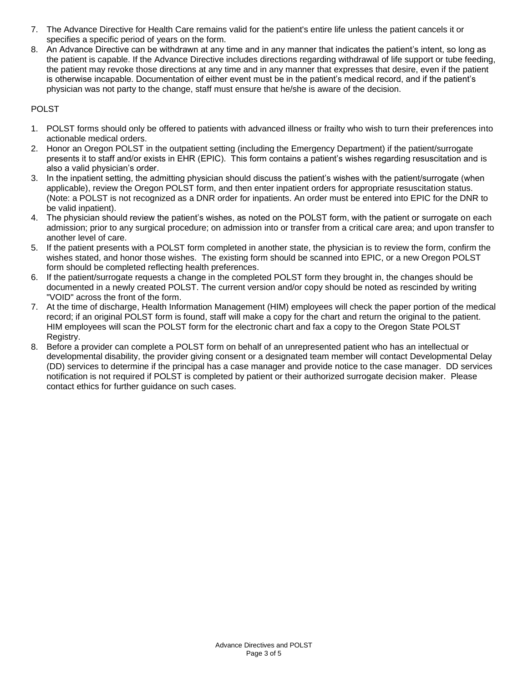- 7. The Advance Directive for Health Care remains valid for the patient's entire life unless the patient cancels it or specifies a specific period of years on the form.
- 8. An Advance Directive can be withdrawn at any time and in any manner that indicates the patient's intent, so long as the patient is capable. If the Advance Directive includes directions regarding withdrawal of life support or tube feeding, the patient may revoke those directions at any time and in any manner that expresses that desire, even if the patient is otherwise incapable. Documentation of either event must be in the patient's medical record, and if the patient's physician was not party to the change, staff must ensure that he/she is aware of the decision.

# POLST

- 1. POLST forms should only be offered to patients with advanced illness or frailty who wish to turn their preferences into actionable medical orders.
- 2. Honor an Oregon POLST in the outpatient setting (including the Emergency Department) if the patient/surrogate presents it to staff and/or exists in EHR (EPIC). This form contains a patient's wishes regarding resuscitation and is also a valid physician's order.
- 3. In the inpatient setting, the admitting physician should discuss the patient's wishes with the patient/surrogate (when applicable), review the Oregon POLST form, and then enter inpatient orders for appropriate resuscitation status. (Note: a POLST is not recognized as a DNR order for inpatients. An order must be entered into EPIC for the DNR to be valid inpatient).
- 4. The physician should review the patient's wishes, as noted on the POLST form, with the patient or surrogate on each admission; prior to any surgical procedure; on admission into or transfer from a critical care area; and upon transfer to another level of care.
- 5. If the patient presents with a POLST form completed in another state, the physician is to review the form, confirm the wishes stated, and honor those wishes. The existing form should be scanned into EPIC, or a new Oregon POLST form should be completed reflecting health preferences.
- 6. If the patient/surrogate requests a change in the completed POLST form they brought in, the changes should be documented in a newly created POLST. The current version and/or copy should be noted as rescinded by writing "VOID" across the front of the form.
- 7. At the time of discharge, Health Information Management (HIM) employees will check the paper portion of the medical record; if an original POLST form is found, staff will make a copy for the chart and return the original to the patient. HIM employees will scan the POLST form for the electronic chart and fax a copy to the Oregon State POLST Registry.
- 8. Before a provider can complete a POLST form on behalf of an unrepresented patient who has an intellectual or developmental disability, the provider giving consent or a designated team member will contact Developmental Delay (DD) services to determine if the principal has a case manager and provide notice to the case manager. DD services notification is not required if POLST is completed by patient or their authorized surrogate decision maker. Please contact ethics for further guidance on such cases.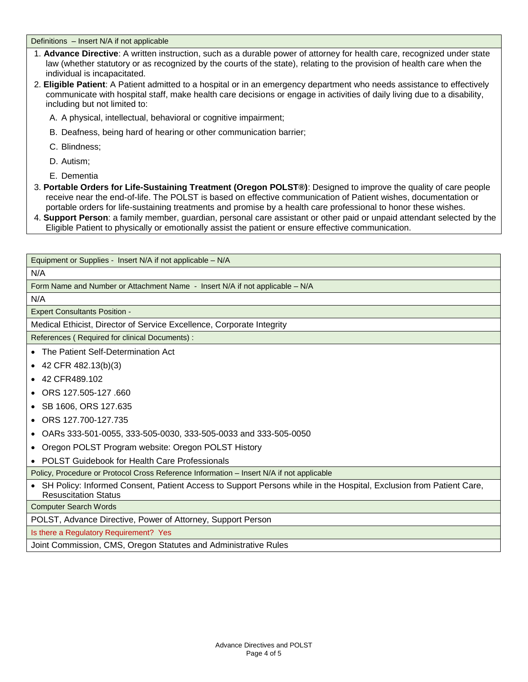Definitions – Insert N/A if not applicable

- 1. **Advance Directive**: A written instruction, such as a durable power of attorney for health care, recognized under state law (whether statutory or as recognized by the courts of the state), relating to the provision of health care when the individual is incapacitated.
- 2. **Eligible Patient**: A Patient admitted to a hospital or in an emergency department who needs assistance to effectively communicate with hospital staff, make health care decisions or engage in activities of daily living due to a disability, including but not limited to:
	- A. A physical, intellectual, behavioral or cognitive impairment;
	- B. Deafness, being hard of hearing or other communication barrier;
	- C. Blindness;
	- D. Autism;
	- E. Dementia
- 3. **Portable Orders for Life-Sustaining Treatment (Oregon POLST®)**: Designed to improve the quality of care people receive near the end-of-life. The POLST is based on effective communication of Patient wishes, documentation or portable orders for life-sustaining treatments and promise by a health care professional to honor these wishes.
- 4. **Support Person**: a family member, guardian, personal care assistant or other paid or unpaid attendant selected by the Eligible Patient to physically or emotionally assist the patient or ensure effective communication.

Equipment or Supplies - Insert N/A if not applicable – N/A

#### N/A

Form Name and Number or Attachment Name - Insert N/A if not applicable – N/A

N/A

Expert Consultants Position -

Medical Ethicist, Director of Service Excellence, Corporate Integrity

References ( Required for clinical Documents) :

- The Patient Self-Determination Act
- $\bullet$  42 CFR 482.13(b)(3)
- 42 CFR489.102
- ORS 127.505-127 .660
- SB 1606, ORS 127.635
- ORS 127.700-127.735
- OARs 333-501-0055, 333-505-0030, 333-505-0033 and 333-505-0050
- Oregon POLST Program website: Oregon POLST History
- POLST Guidebook for Health Care Professionals

Policy, Procedure or Protocol Cross Reference Information – Insert N/A if not applicable

• SH Policy: Informed Consent, Patient Access to Support Persons while in the Hospital, Exclusion from Patient Care, Resuscitation Status

Computer Search Words

POLST, Advance Directive, Power of Attorney, Support Person

Is there a Regulatory Requirement? Yes

Joint Commission, CMS, Oregon Statutes and Administrative Rules